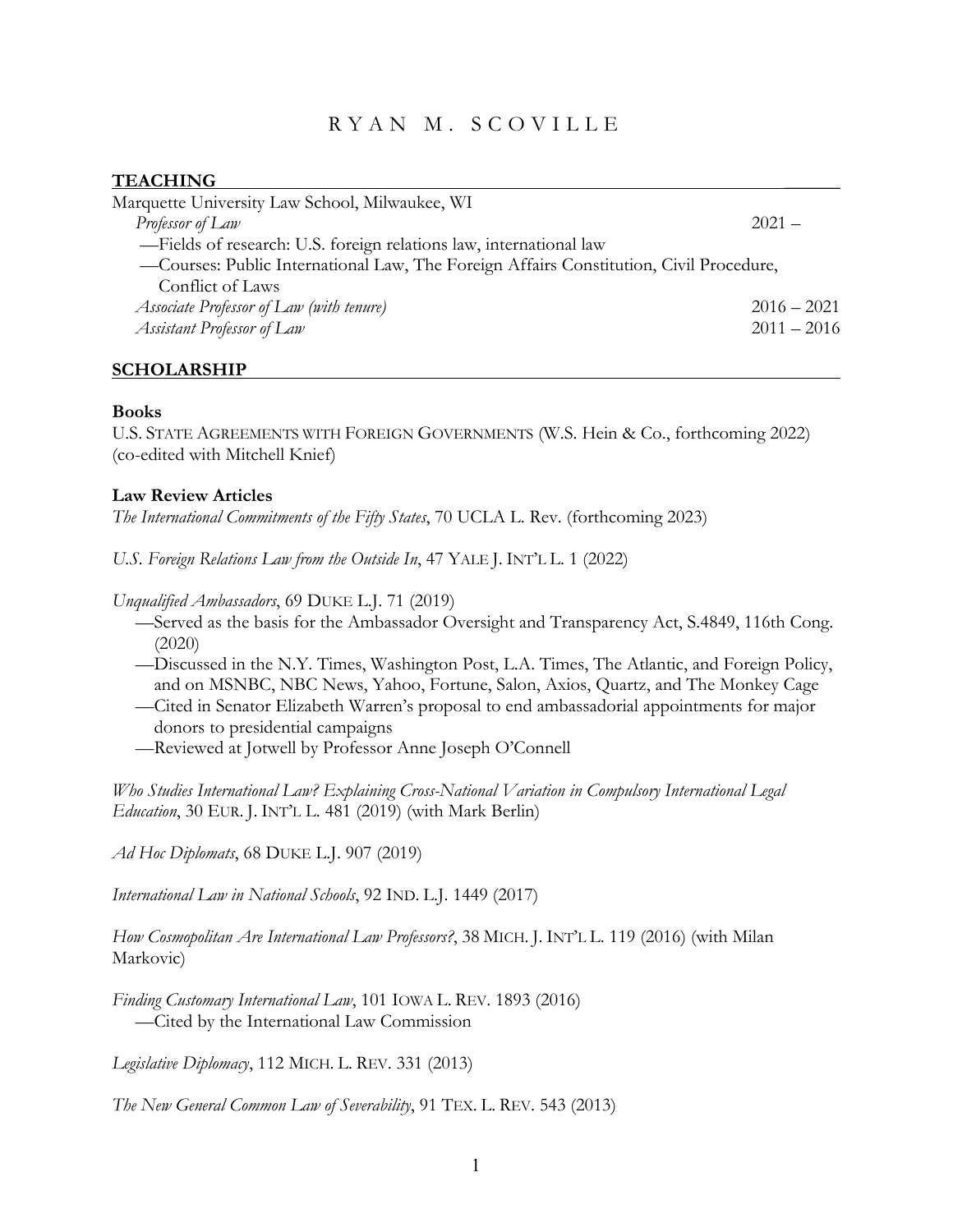# RYAN M. SCOVILLE

#### **TEACHING \_\_\_\_\_\_**

| Marquette University Law School, Milwaukee, WI                                         |               |
|----------------------------------------------------------------------------------------|---------------|
| Professor of Law                                                                       | $2021 -$      |
| -Fields of research: U.S. foreign relations law, international law                     |               |
| -Courses: Public International Law, The Foreign Affairs Constitution, Civil Procedure, |               |
| Conflict of Laws                                                                       |               |
| Associate Professor of Law (with tenure)                                               | $2016 - 2021$ |
| Assistant Professor of Law                                                             | $2011 - 2016$ |
|                                                                                        |               |

#### **SCHOLARSHIP**

#### **Books**

U.S. STATE AGREEMENTS WITH FOREIGN GOVERNMENTS (W.S. Hein & Co., forthcoming 2022) (co-edited with Mitchell Knief)

### **Law Review Articles**

*The International Commitments of the Fifty States*, 70 UCLA L. Rev. (forthcoming 2023)

*U.S. Foreign Relations Law from the Outside In*, 47 YALE J. INT'L L. 1 (2022)

# *Unqualified Ambassadors*, 69 DUKE L.J. 71 (2019)

- —Served as the basis for the Ambassador Oversight and Transparency Act, S.4849, 116th Cong. (2020)
- —Discussed in the N.Y. Times, Washington Post, L.A. Times, The Atlantic, and Foreign Policy, and on MSNBC, NBC News, Yahoo, Fortune, Salon, Axios, Quartz, and The Monkey Cage
- —Cited in Senator Elizabeth Warren's proposal to end ambassadorial appointments for major donors to presidential campaigns
- —Reviewed at Jotwell by Professor Anne Joseph O'Connell

*Who Studies International Law? Explaining Cross-National Variation in Compulsory International Legal Education*, 30 EUR. J. INT'L L. 481 (2019) (with Mark Berlin)

*Ad Hoc Diplomats*, 68 DUKE L.J. 907 (2019)

*International Law in National Schools*, 92 IND. L.J. 1449 (2017)

*How Cosmopolitan Are International Law Professors?*, 38 MICH. J. INT'L L. 119 (2016) (with Milan Markovic)

*Finding Customary International Law*, 101 IOWA L. REV. 1893 (2016) —Cited by the International Law Commission

*Legislative Diplomacy*, 112 MICH. L. REV. 331 (2013)

*The New General Common Law of Severability*, 91 TEX. L. REV. 543 (2013)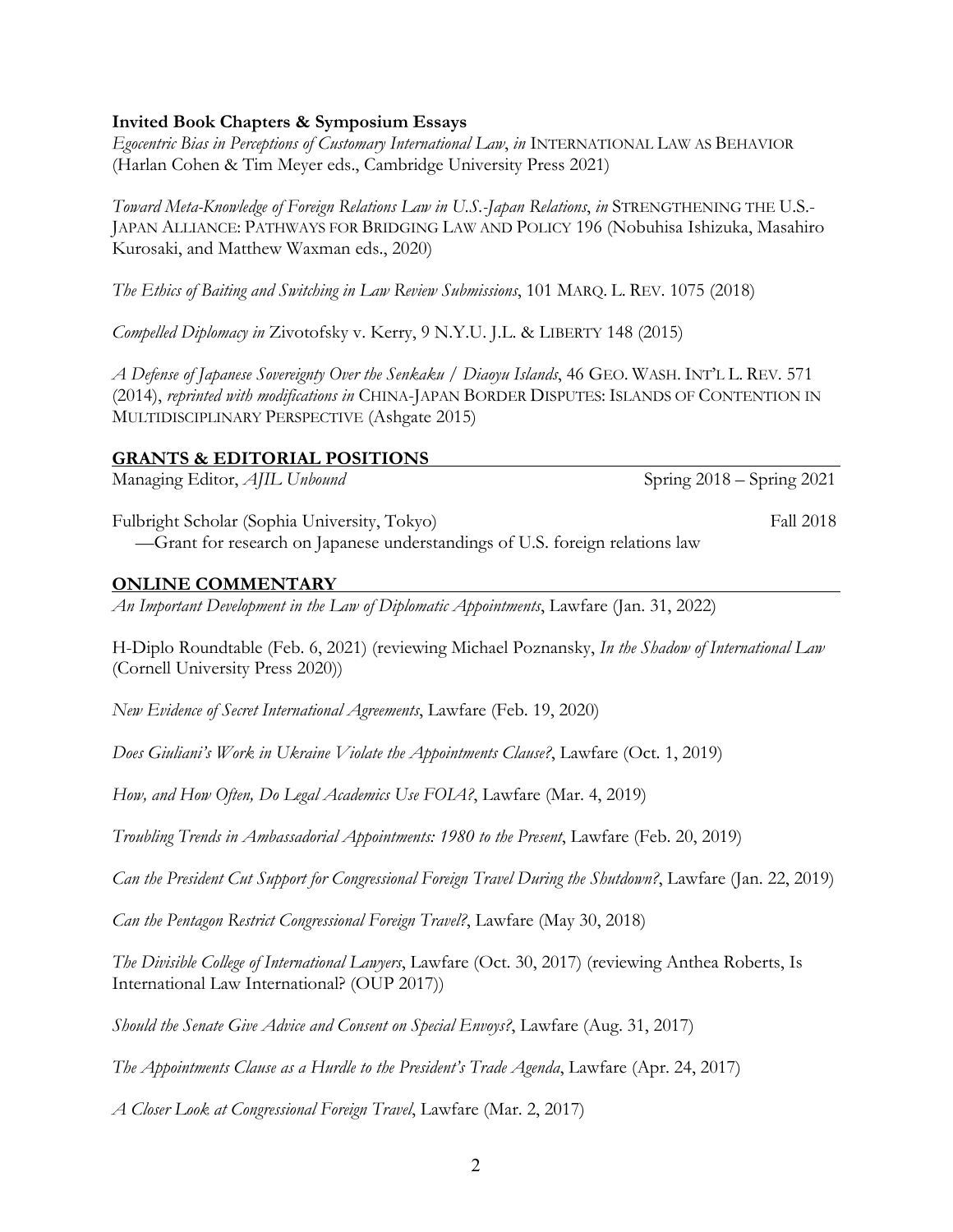### **Invited Book Chapters & Symposium Essays**

*Egocentric Bias in Perceptions of Customary International Law*, *in* INTERNATIONAL LAW AS BEHAVIOR (Harlan Cohen & Tim Meyer eds., Cambridge University Press 2021)

*Toward Meta-Knowledge of Foreign Relations Law in U.S.-Japan Relations*, *in* STRENGTHENING THE U.S.- JAPAN ALLIANCE: PATHWAYS FOR BRIDGING LAW AND POLICY 196 (Nobuhisa Ishizuka, Masahiro Kurosaki, and Matthew Waxman eds., 2020)

*The Ethics of Baiting and Switching in Law Review Submissions*, 101 MARQ. L. REV. 1075 (2018)

*Compelled Diplomacy in* Zivotofsky v. Kerry, 9 N.Y.U. J.L. & LIBERTY 148 (2015)

*A Defense of Japanese Sovereignty Over the Senkaku / Diaoyu Islands*, 46 GEO. WASH. INT'L L. REV. 571 (2014), *reprinted with modifications in* CHINA-JAPAN BORDER DISPUTES: ISLANDS OF CONTENTION IN MULTIDISCIPLINARY PERSPECTIVE (Ashgate 2015)

### **GRANTS & EDITORIAL POSITIONS**

Managing Editor, *AJIL Unbound* Spring 2018 – Spring 2021

Fulbright Scholar (Sophia University, Tokyo) Fall 2018

—Grant for research on Japanese understandings of U.S. foreign relations law

# **ONLINE COMMENTARY**

*An Important Development in the Law of Diplomatic Appointments*, Lawfare (Jan. 31, 2022)

H-Diplo Roundtable (Feb. 6, 2021) (reviewing Michael Poznansky, *In the Shadow of International Law* (Cornell University Press 2020))

*New Evidence of Secret International Agreements*, Lawfare (Feb. 19, 2020)

*Does Giuliani's Work in Ukraine Violate the Appointments Clause?*, Lawfare (Oct. 1, 2019)

*How, and How Often, Do Legal Academics Use FOIA?*, Lawfare (Mar. 4, 2019)

*Troubling Trends in Ambassadorial Appointments: 1980 to the Present*, Lawfare (Feb. 20, 2019)

*Can the President Cut Support for Congressional Foreign Travel During the Shutdown?*, Lawfare (Jan. 22, 2019)

*Can the Pentagon Restrict Congressional Foreign Travel?*, Lawfare (May 30, 2018)

*The Divisible College of International Lawyers*, Lawfare (Oct. 30, 2017) (reviewing Anthea Roberts, Is International Law International? (OUP 2017))

*Should the Senate Give Advice and Consent on Special Envoys?*, Lawfare (Aug. 31, 2017)

*The Appointments Clause as a Hurdle to the President's Trade Agenda*, Lawfare (Apr. 24, 2017)

*A Closer Look at Congressional Foreign Travel*, Lawfare (Mar. 2, 2017)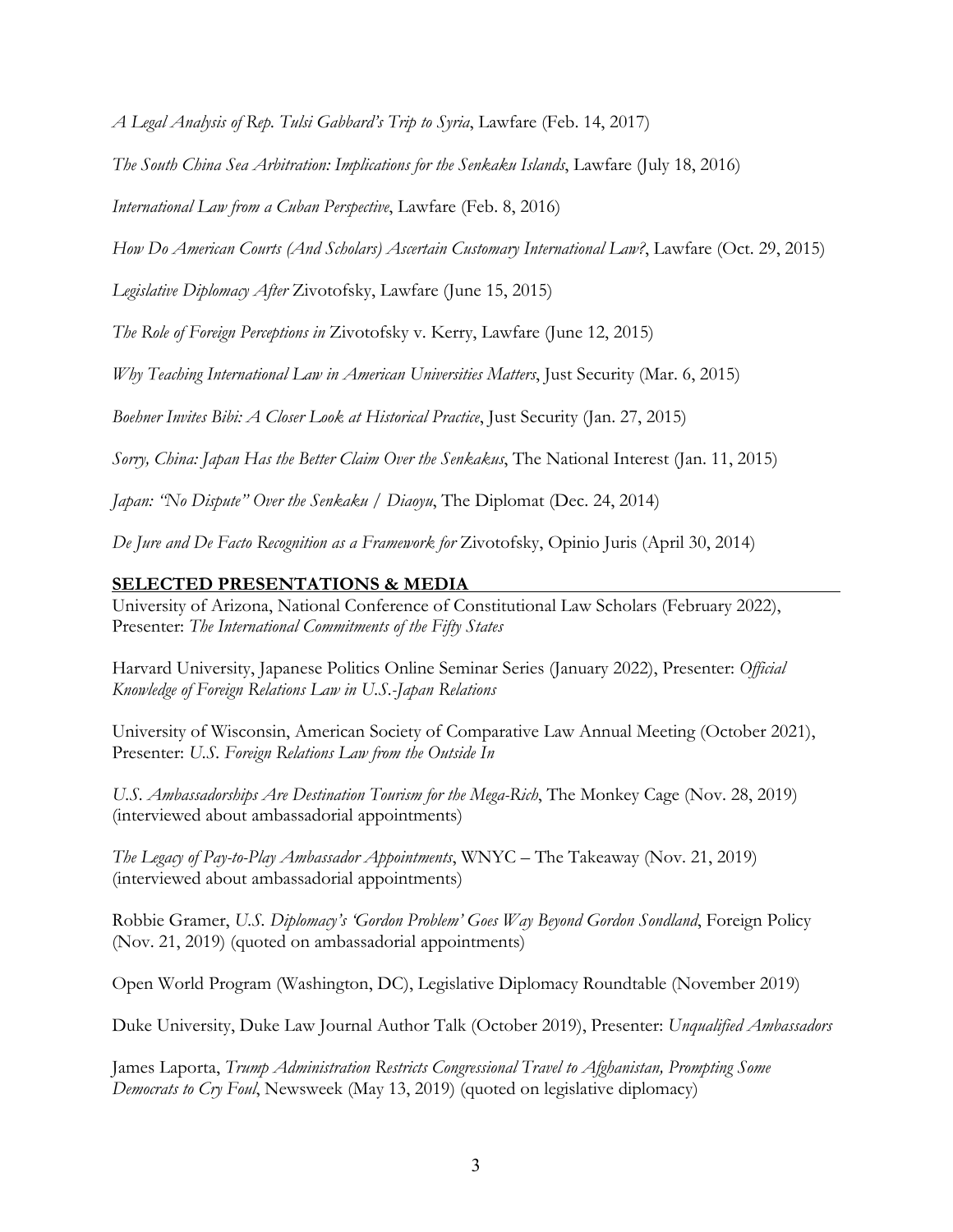*A Legal Analysis of Rep. Tulsi Gabbard's Trip to Syria*, Lawfare (Feb. 14, 2017)

*The South China Sea Arbitration: Implications for the Senkaku Islands*, Lawfare (July 18, 2016)

*International Law from a Cuban Perspective*, Lawfare (Feb. 8, 2016)

*How Do American Courts (And Scholars) Ascertain Customary International Law?*, Lawfare (Oct. 29, 2015)

*Legislative Diplomacy After* Zivotofsky, Lawfare (June 15, 2015)

*The Role of Foreign Perceptions in* Zivotofsky v. Kerry, Lawfare (June 12, 2015)

*Why Teaching International Law in American Universities Matters*, Just Security (Mar. 6, 2015)

*Boehner Invites Bibi: A Closer Look at Historical Practice*, Just Security (Jan. 27, 2015)

*Sorry, China: Japan Has the Better Claim Over the Senkakus*, The National Interest (Jan. 11, 2015)

*Japan: "No Dispute" Over the Senkaku / Diaoyu*, The Diplomat (Dec. 24, 2014)

*De Jure and De Facto Recognition as a Framework for* Zivotofsky, Opinio Juris (April 30, 2014)

# **SELECTED PRESENTATIONS & MEDIA**

University of Arizona, National Conference of Constitutional Law Scholars (February 2022), Presenter: *The International Commitments of the Fifty States*

Harvard University, Japanese Politics Online Seminar Series (January 2022), Presenter: *Official Knowledge of Foreign Relations Law in U.S.-Japan Relations*

University of Wisconsin, American Society of Comparative Law Annual Meeting (October 2021), Presenter: *U.S. Foreign Relations Law from the Outside In*

*U.S. Ambassadorships Are Destination Tourism for the Mega-Rich*, The Monkey Cage (Nov. 28, 2019) (interviewed about ambassadorial appointments)

*The Legacy of Pay-to-Play Ambassador Appointments*, WNYC – The Takeaway (Nov. 21, 2019) (interviewed about ambassadorial appointments)

Robbie Gramer, *U.S. Diplomacy's 'Gordon Problem' Goes Way Beyond Gordon Sondland*, Foreign Policy (Nov. 21, 2019) (quoted on ambassadorial appointments)

Open World Program (Washington, DC), Legislative Diplomacy Roundtable (November 2019)

Duke University, Duke Law Journal Author Talk (October 2019), Presenter: *Unqualified Ambassadors*

James Laporta, *Trump Administration Restricts Congressional Travel to Afghanistan, Prompting Some Democrats to Cry Foul*, Newsweek (May 13, 2019) (quoted on legislative diplomacy)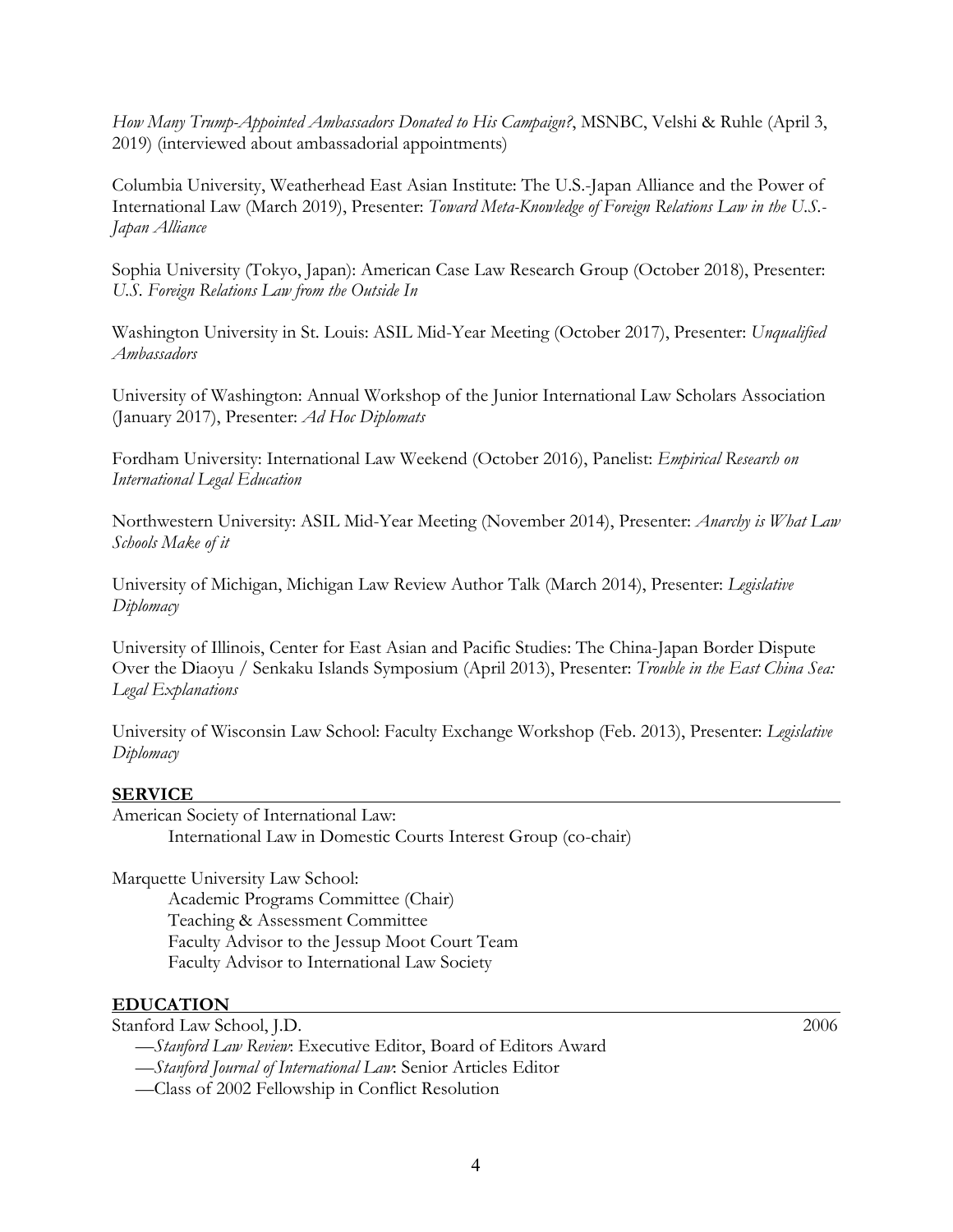*How Many Trump-Appointed Ambassadors Donated to His Campaign?*, MSNBC, Velshi & Ruhle (April 3, 2019) (interviewed about ambassadorial appointments)

Columbia University, Weatherhead East Asian Institute: The U.S.-Japan Alliance and the Power of International Law (March 2019), Presenter: *Toward Meta-Knowledge of Foreign Relations Law in the U.S.- Japan Alliance*

Sophia University (Tokyo, Japan): American Case Law Research Group (October 2018), Presenter: *U.S. Foreign Relations Law from the Outside In*

Washington University in St. Louis: ASIL Mid-Year Meeting (October 2017), Presenter: *Unqualified Ambassadors*

University of Washington: Annual Workshop of the Junior International Law Scholars Association (January 2017), Presenter: *Ad Hoc Diplomats*

Fordham University: International Law Weekend (October 2016), Panelist: *Empirical Research on International Legal Education*

Northwestern University: ASIL Mid-Year Meeting (November 2014), Presenter: *Anarchy is What Law Schools Make of it*

University of Michigan, Michigan Law Review Author Talk (March 2014), Presenter: *Legislative Diplomacy*

University of Illinois, Center for East Asian and Pacific Studies: The China-Japan Border Dispute Over the Diaoyu / Senkaku Islands Symposium (April 2013), Presenter: *Trouble in the East China Sea: Legal Explanations*

University of Wisconsin Law School: Faculty Exchange Workshop (Feb. 2013), Presenter: *Legislative Diplomacy*

### **SERVICE**

American Society of International Law: International Law in Domestic Courts Interest Group (co-chair)

Marquette University Law School:

Academic Programs Committee (Chair) Teaching & Assessment Committee Faculty Advisor to the Jessup Moot Court Team Faculty Advisor to International Law Society

# **EDUCATION**

Stanford Law School, J.D. 2006

—*Stanford Law Review*: Executive Editor, Board of Editors Award

—*Stanford Journal of International Law*: Senior Articles Editor

—Class of 2002 Fellowship in Conflict Resolution